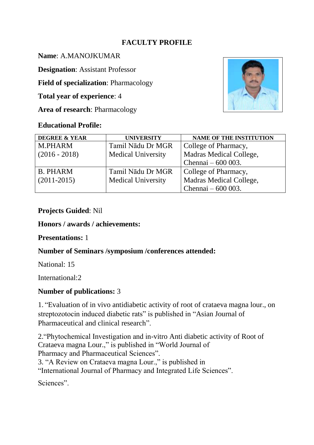## **FACULTY PROFILE**

**Name**: A.MANOJKUMAR

**Designation**: Assistant Professor

**Field of specialization**: Pharmacology

**Total year of experience**: 4

**Area of research**: Pharmacology

#### **Educational Profile:**



| <b>DEGREE &amp; YEAR</b> | <b>UNIVERSITY</b>         | <b>NAME OF THE INSTITUTION</b> |
|--------------------------|---------------------------|--------------------------------|
| <b>M.PHARM</b>           | Tamil Nādu Dr MGR         | College of Pharmacy,           |
| $(2016 - 2018)$          | <b>Medical University</b> | Madras Medical College,        |
|                          |                           | Chennai $-600003$ .            |
| <b>B. PHARM</b>          | Tamil Nādu Dr MGR         | College of Pharmacy,           |
| $(2011-2015)$            | <b>Medical University</b> | Madras Medical College,        |
|                          |                           | Chennai $-600003$ .            |

### **Projects Guided**: Nil

#### **Honors / awards / achievements:**

### **Presentations:** 1

### **Number of Seminars /symposium /conferences attended:**

National: 15

International:2

# **Number of publications:** 3

1. "Evaluation of in vivo antidiabetic activity of root of crataeva magna lour., on streptozotocin induced diabetic rats" is published in "Asian Journal of Pharmaceutical and clinical research".

2."Phytochemical Investigation and in-vitro Anti diabetic activity of Root of Crataeva magna Lour.," is published in "World Journal of Pharmacy and Pharmaceutical Sciences".

3. "A Review on Crataeva magna Lour.," is published in

"International Journal of Pharmacy and Integrated Life Sciences".

Sciences".